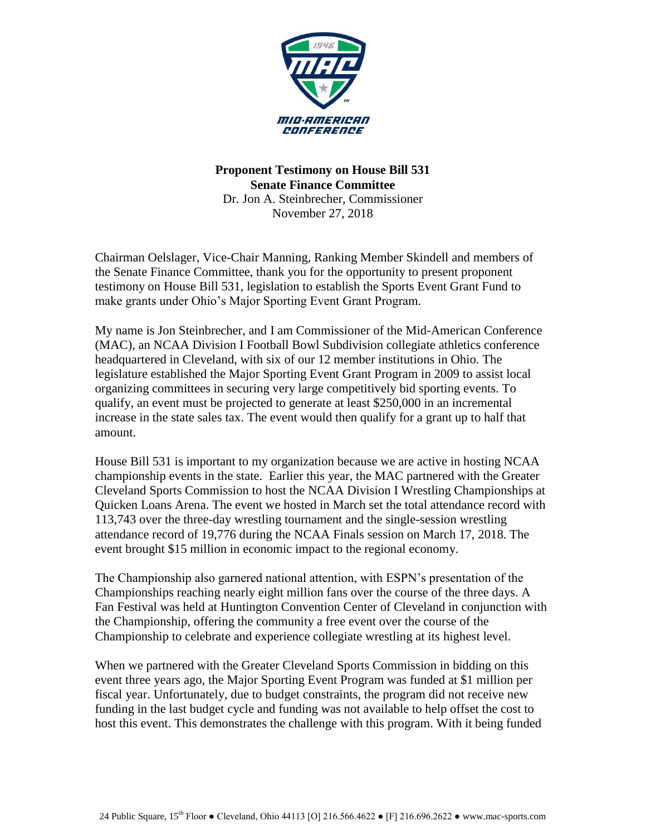

**Proponent Testimony on House Bill 531 Senate Finance Committee** Dr. Jon A. Steinbrecher, Commissioner November 27, 2018

Chairman Oelslager, Vice-Chair Manning, Ranking Member Skindell and members of the Senate Finance Committee, thank you for the opportunity to present proponent testimony on House Bill 531, legislation to establish the Sports Event Grant Fund to make grants under Ohio's Major Sporting Event Grant Program.

My name is Jon Steinbrecher, and I am Commissioner of the Mid-American Conference (MAC), an NCAA Division I Football Bowl Subdivision collegiate athletics conference headquartered in Cleveland, with six of our 12 member institutions in Ohio. The legislature established the Major Sporting Event Grant Program in 2009 to assist local organizing committees in securing very large competitively bid sporting events. To qualify, an event must be projected to generate at least \$250,000 in an incremental increase in the state sales tax. The event would then qualify for a grant up to half that amount.

House Bill 531 is important to my organization because we are active in hosting NCAA championship events in the state. Earlier this year, the MAC partnered with the Greater Cleveland Sports Commission to host the NCAA Division I Wrestling Championships at Quicken Loans Arena. The event we hosted in March set the total attendance record with 113,743 over the three-day wrestling tournament and the single-session wrestling attendance record of 19,776 during the NCAA Finals session on March 17, 2018. The event brought \$15 million in economic impact to the regional economy.

The Championship also garnered national attention, with ESPN's presentation of the Championships reaching nearly eight million fans over the course of the three days. A Fan Festival was held at Huntington Convention Center of Cleveland in conjunction with the Championship, offering the community a free event over the course of the Championship to celebrate and experience collegiate wrestling at its highest level.

When we partnered with the Greater Cleveland Sports Commission in bidding on this event three years ago, the Major Sporting Event Program was funded at \$1 million per fiscal year. Unfortunately, due to budget constraints, the program did not receive new funding in the last budget cycle and funding was not available to help offset the cost to host this event. This demonstrates the challenge with this program. With it being funded